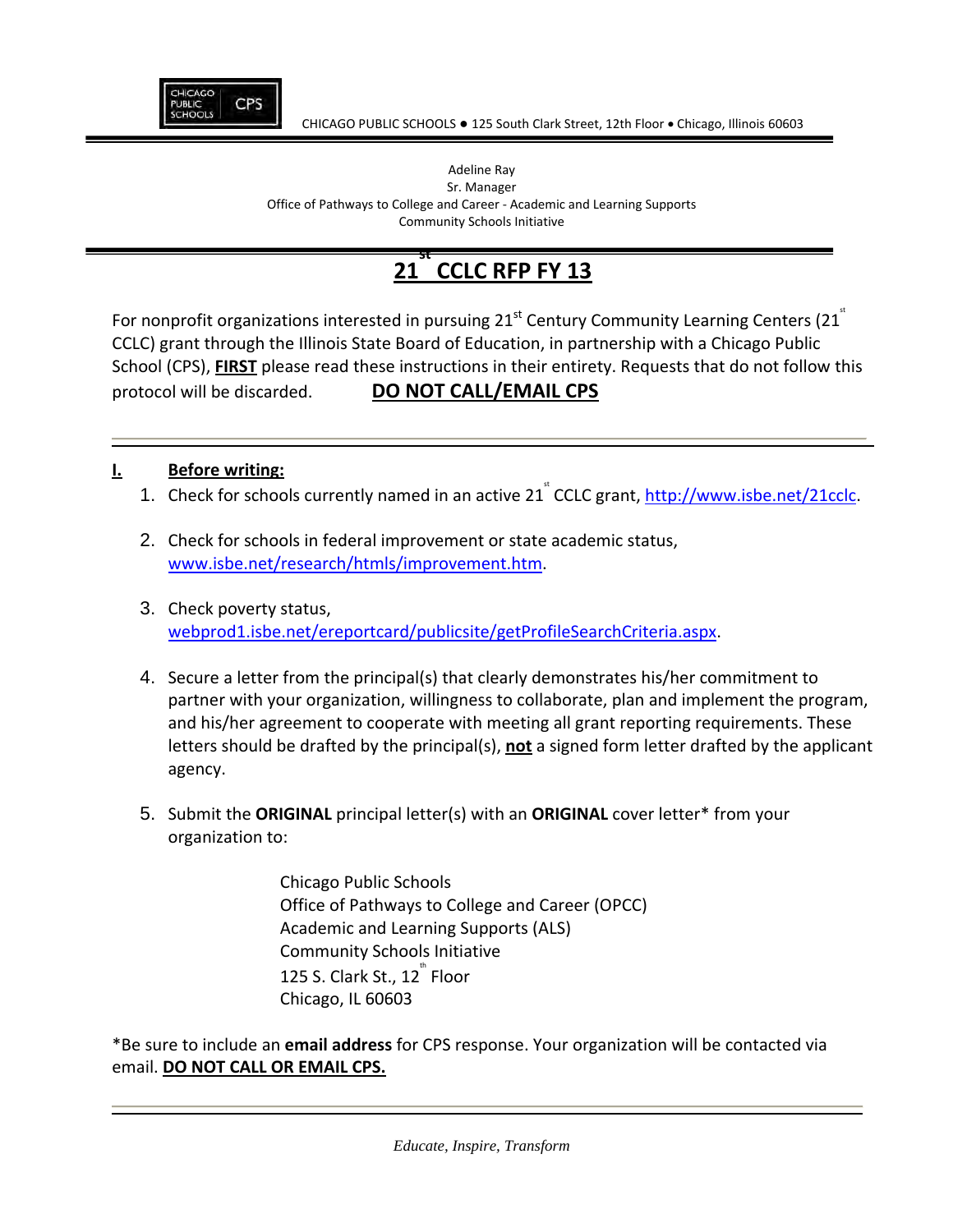

#### Adeline Ray Sr. Manager Office of Pathways to College and Career ‐ Academic and Learning Supports Community Schools Initiative

#### **21 st CCLC RFP FY 13**

For nonprofit organizations interested in pursuing  $21<sup>st</sup>$  Century Community Learning Centers (21 $<sup>st</sup>$ </sup> CCLC) grant through the Illinois State Board of Education, in partnership with a Chicago Public School (CPS), **FIRST** please read these instructions in their entirety. Requests that do not follow this protocol will be discarded. **DO NOT CALL/EMAIL CPS**

## **I. Before writing:**

- 1. Check for schools currently named in an active 21<sup>\*</sup> CCLC grant, http://www.isbe.net/21cclc.
- 2. Check for schools in federal improvement or state academic status, www.isbe.net/research/htmls/improvement.htm.
- 3. Check poverty status, webprod1.isbe.net/ereportcard/publicsite/getProfileSearchCriteria.aspx.
- 4. Secure a letter from the principal(s) that clearly demonstrates his/her commitment to partner with your organization, willingness to collaborate, plan and implement the program, and his/her agreement to cooperate with meeting all grant reporting requirements. These letters should be drafted by the principal(s), **not** a signed form letter drafted by the applicant agency.
- 5. Submit the **ORIGINAL** principal letter(s) with an **ORIGINAL** cover letter\* from your organization to:

Chicago Public Schools Office of Pathways to College and Career (OPCC) Academic and Learning Supports (ALS) Community Schools Initiative 125 S. Clark St., 12 $^{\text{th}}$  Floor Chicago, IL 60603

\*Be sure to include an **email address** for CPS response. Your organization will be contacted via email. **DO NOT CALL OR EMAIL CPS.**